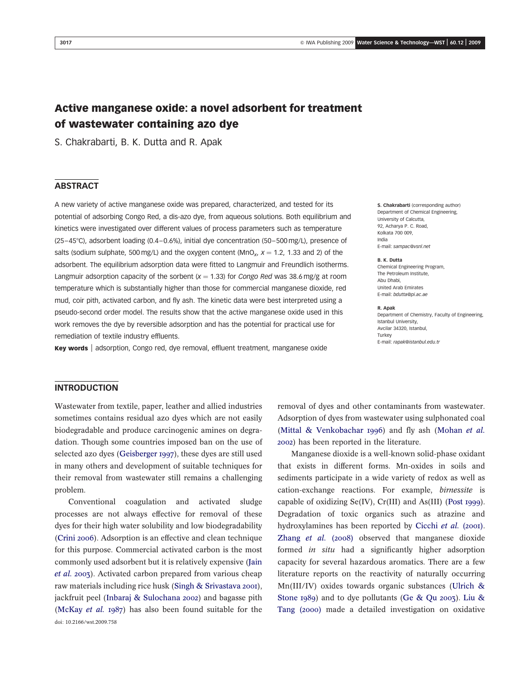# Active manganese oxide: a novel adsorbent for treatment of wastewater containing azo dye

S. Chakrabarti, B. K. Dutta and R. Apak

# **ABSTRACT**

A new variety of active manganese oxide was prepared, characterized, and tested for its potential of adsorbing Congo Red, a dis-azo dye, from aqueous solutions. Both equilibrium and kinetics were investigated over different values of process parameters such as temperature (25-45°C), adsorbent loading (0.4-0.6%), initial dye concentration (50-500 mg/L), presence of salts (sodium sulphate, 500 mg/L) and the oxygen content (MnO<sub>x</sub>,  $x = 1.2$ , 1.33 and 2) of the adsorbent. The equilibrium adsorption data were fitted to Langmuir and Freundlich isotherms. Langmuir adsorption capacity of the sorbent  $(x = 1.33)$  for Congo Red was 38.6 mg/g at room temperature which is substantially higher than those for commercial manganese dioxide, red mud, coir pith, activated carbon, and fly ash. The kinetic data were best interpreted using a pseudo-second order model. The results show that the active manganese oxide used in this work removes the dye by reversible adsorption and has the potential for practical use for remediation of textile industry effluents.

Key words | adsorption, Congo red, dye removal, effluent treatment, manganese oxide

#### S. Chakrabarti (corresponding author) Department of Chemical Engineering, University of Calcutta, 92, Acharya P. C. Road, Kolkata 700 009, India E-mail: sampac@vsnl.net

#### B. K. Dutta

Chemical Engineering Program, The Petroleum Institute, Abu Dhabi, United Arab Emirates E-mail: bdutta@pi.ac.ae

#### R. Apak

Department of Chemistry, Faculty of Engineering, Istanbul University, Avcilar 34320, Istanbul, Turkey E-mail: rapak@istanbul.edu.tr

# INTRODUCTION

Wastewater from textile, paper, leather and allied industries sometimes contains residual azo dyes which are not easily biodegradable and produce carcinogenic amines on degradation. Though some countries imposed ban on the use of selected azo dyes (Geisberger 1997), these dyes are still used in many others and development of suitable techniques for their removal from wastewater still remains a challenging problem.

Conventional coagulation and activated sludge processes are not always effective for removal of these dyes for their high water solubility and low biodegradability (Crini 2006). Adsorption is an effective and clean technique for this purpose. Commercial activated carbon is the most commonly used adsorbent but it is relatively expensive (Jain et al. 2003). Activated carbon prepared from various cheap raw materials including rice husk (Singh & Srivastava 2001), jackfruit peel (Inbaraj & Sulochana 2002) and bagasse pith (McKay et al. 1987) has also been found suitable for the doi: 10.2166/wst.2009.758

removal of dyes and other contaminants from wastewater. Adsorption of dyes from wastewater using sulphonated coal (Mittal & Venkobachar 1996) and fly ash (Mohan et al. 2002) has been reported in the literature.

Manganese dioxide is a well-known solid-phase oxidant that exists in different forms. Mn-oxides in soils and sediments participate in a wide variety of redox as well as cation-exchange reactions. For example, birnessite is capable of oxidizing Se(IV), Cr(III) and As(III) (Post 1999). Degradation of toxic organics such as atrazine and hydroxylamines has been reported by Cicchi et al. (2001). Zhang et al. (2008) observed that manganese dioxide formed *in situ* had a significantly higher adsorption capacity for several hazardous aromatics. There are a few literature reports on the reactivity of naturally occurring Mn(III/IV) oxides towards organic substances (Ulrich & Stone 1989) and to dye pollutants (Ge & Qu 2003). Liu & Tang (2000) made a detailed investigation on oxidative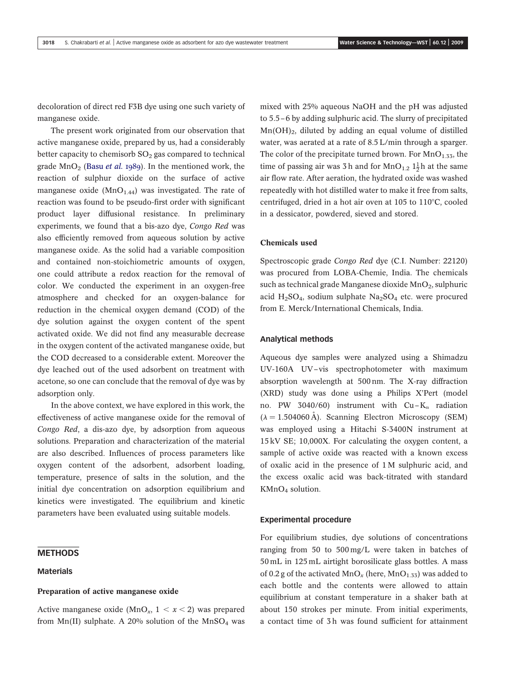decoloration of direct red F3B dye using one such variety of manganese oxide.

The present work originated from our observation that active manganese oxide, prepared by us, had a considerably better capacity to chemisorb  $SO<sub>2</sub>$  gas compared to technical grade  $MnO<sub>2</sub>$  (Basu *et al.* 1989). In the mentioned work, the reaction of sulphur dioxide on the surface of active manganese oxide ( $MnO<sub>1.44</sub>$ ) was investigated. The rate of reaction was found to be pseudo-first order with significant product layer diffusional resistance. In preliminary experiments, we found that a bis-azo dye, Congo Red was also efficiently removed from aqueous solution by active manganese oxide. As the solid had a variable composition and contained non-stoichiometric amounts of oxygen, one could attribute a redox reaction for the removal of color. We conducted the experiment in an oxygen-free atmosphere and checked for an oxygen-balance for reduction in the chemical oxygen demand (COD) of the dye solution against the oxygen content of the spent activated oxide. We did not find any measurable decrease in the oxygen content of the activated manganese oxide, but the COD decreased to a considerable extent. Moreover the dye leached out of the used adsorbent on treatment with acetone, so one can conclude that the removal of dye was by adsorption only.

In the above context, we have explored in this work, the effectiveness of active manganese oxide for the removal of Congo Red, a dis-azo dye, by adsorption from aqueous solutions. Preparation and characterization of the material are also described. Influences of process parameters like oxygen content of the adsorbent, adsorbent loading, temperature, presence of salts in the solution, and the initial dye concentration on adsorption equilibrium and kinetics were investigated. The equilibrium and kinetic parameters have been evaluated using suitable models.

### **METHODS**

### Materials

#### Preparation of active manganese oxide

Active manganese oxide (MnO<sub>x</sub>,  $1 < x < 2$ ) was prepared from Mn(II) sulphate. A 20% solution of the MnSO<sub>4</sub> was mixed with 25% aqueous NaOH and the pH was adjusted to 5.5–6 by adding sulphuric acid. The slurry of precipitated  $Mn(OH)_2$ , diluted by adding an equal volume of distilled water, was aerated at a rate of 8.5 L/min through a sparger. The color of the precipitate turned brown. For  $MnO<sub>1.33</sub>$ , the time of passing air was 3 h and for  $MnO_{1.2} 1\frac{1}{2}$ h at the same air flow rate. After aeration, the hydrated oxide was washed repeatedly with hot distilled water to make it free from salts, centrifuged, dried in a hot air oven at  $105$  to  $110^{\circ}$ C, cooled in a dessicator, powdered, sieved and stored.

### Chemicals used

Spectroscopic grade Congo Red dye (C.I. Number: 22120) was procured from LOBA-Chemie, India. The chemicals such as technical grade Manganese dioxide  $MnO<sub>2</sub>$ , sulphuric acid  $H_2SO_4$ , sodium sulphate  $Na_2SO_4$  etc. were procured from E. Merck/International Chemicals, India.

### Analytical methods

Aqueous dye samples were analyzed using a Shimadzu UV-160A UV–vis spectrophotometer with maximum absorption wavelength at 500 nm. The X-ray diffraction (XRD) study was done using a Philips X'Pert (model no. PW 3040/60) instrument with  $Cu - K_{\alpha}$  radiation  $(\lambda = 1.504060 \text{ Å})$ . Scanning Electron Microscopy (SEM) was employed using a Hitachi S-3400N instrument at 15 kV SE; 10,000X. For calculating the oxygen content, a sample of active oxide was reacted with a known excess of oxalic acid in the presence of 1 M sulphuric acid, and the excess oxalic acid was back-titrated with standard KMnO<sup>4</sup> solution.

### Experimental procedure

For equilibrium studies, dye solutions of concentrations ranging from 50 to 500 mg/L were taken in batches of 50 mL in 125 mL airtight borosilicate glass bottles. A mass of 0.2 g of the activated  $MnO_x$  (here,  $MnO_{1,33}$ ) was added to each bottle and the contents were allowed to attain equilibrium at constant temperature in a shaker bath at about 150 strokes per minute. From initial experiments, a contact time of 3 h was found sufficient for attainment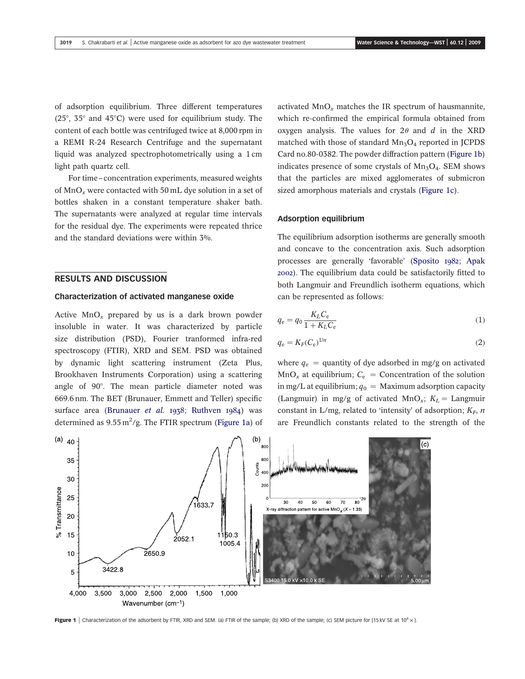of adsorption equilibrium. Three different temperatures (25 $\degree$ , 35 $\degree$  and 45 $\degree$ C) were used for equilibrium study. The content of each bottle was centrifuged twice at 8,000 rpm in a REMI R-24 Research Centrifuge and the supernatant liquid was analyzed spectrophotometrically using a 1 cm light path quartz cell.

For time– concentration experiments, measured weights of  $MnO<sub>x</sub>$  were contacted with 50 mL dye solution in a set of bottles shaken in a constant temperature shaker bath. The supernatants were analyzed at regular time intervals for the residual dye. The experiments were repeated thrice and the standard deviations were within 3%.

# RESULTS AND DISCUSSION

#### Characterization of activated manganese oxide

Active  $MnO_x$  prepared by us is a dark brown powder insoluble in water. It was characterized by particle size distribution (PSD), Fourier tranformed infra-red spectroscopy (FTIR), XRD and SEM. PSD was obtained by dynamic light scattering instrument (Zeta Plus, Brookhaven Instruments Corporation) using a scattering angle of 90°. The mean particle diameter noted was 669.6 nm. The BET (Brunauer, Emmett and Teller) specific surface area (Brunauer et al. 1938; Ruthven 1984) was determined as  $9.55 \,\mathrm{m}^2/\mathrm{g}$ . The FTIR spectrum (Figure 1a) of

activated  $\text{MnO}_x$  matches the IR spectrum of hausmannite, which re-confirmed the empirical formula obtained from oxygen analysis. The values for  $2\theta$  and d in the XRD matched with those of standard  $Mn<sub>3</sub>O<sub>4</sub>$  reported in JCPDS Card no.80-0382. The powder diffraction pattern (Figure 1b) indicates presence of some crystals of  $Mn<sub>3</sub>O<sub>4</sub>$ . SEM shows that the particles are mixed agglomerates of submicron sized amorphous materials and crystals (Figure 1c).

#### Adsorption equilibrium

The equilibrium adsorption isotherms are generally smooth and concave to the concentration axis. Such adsorption processes are generally 'favorable' (Sposito 1982; Apak 2002). The equilibrium data could be satisfactorily fitted to both Langmuir and Freundlich isotherm equations, which can be represented as follows:

$$
q_{\rm e} = q_0 \frac{K_L C_{\rm e}}{1 + K_L C_{\rm e}}\tag{1}
$$

$$
q_{\rm e} = K_F (C_{\rm e})^{1/n} \tag{2}
$$

where  $q_e$  = quantity of dye adsorbed in mg/g on activated  $MnO_x$  at equilibrium;  $C_e$  = Concentration of the solution in mg/L at equilibrium;  $q_0$  = Maximum adsorption capacity (Langmuir) in mg/g of activated MnO<sub>x</sub>;  $K_L$  = Langmuir constant in L/mg, related to 'intensity' of adsorption;  $K_F$ , n are Freundlich constants related to the strength of the



Figure 1 | Characterization of the adsorbent by FTIR, XRD and SEM. (a) FTIR of the sample; (b) XRD of the sample; (c) SEM picture for [15 kV SE at  $10^4 \times$ ].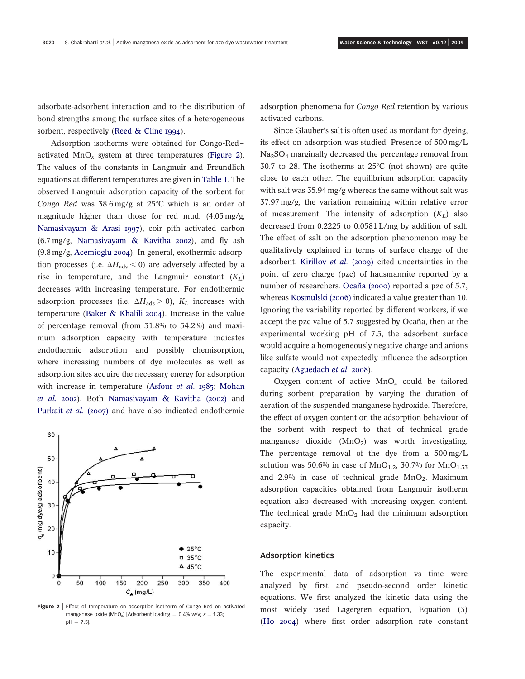adsorbate-adsorbent interaction and to the distribution of bond strengths among the surface sites of a heterogeneous sorbent, respectively (Reed & Cline 1994).

Adsorption isotherms were obtained for Congo-Red– activated  $MnO_x$  system at three temperatures (Figure 2). The values of the constants in Langmuir and Freundlich equations at different temperatures are given in Table 1. The observed Langmuir adsorption capacity of the sorbent for Congo Red was  $38.6 \,\text{mg/g}$  at  $25^{\circ}\text{C}$  which is an order of magnitude higher than those for red mud, (4.05 mg/g, Namasivayam & Arasi 1997), coir pith activated carbon (6.7 mg/g, Namasivayam & Kavitha 2002), and fly ash (9.8 mg/g, Acemioglu 2004). In general, exothermic adsorption processes (i.e.  $\Delta H_{ads} < 0$ ) are adversely affected by a rise in temperature, and the Langmuir constant  $(K_L)$ decreases with increasing temperature. For endothermic adsorption processes (i.e.  $\Delta H_{\text{ads}} > 0$ ),  $K_L$  increases with temperature (Baker & Khalili 2004). Increase in the value of percentage removal (from 31.8% to 54.2%) and maximum adsorption capacity with temperature indicates endothermic adsorption and possibly chemisorption, where increasing numbers of dye molecules as well as adsorption sites acquire the necessary energy for adsorption with increase in temperature (Asfour et al. 1985; Mohan et al. 2002). Both Namasivayam & Kavitha (2002) and Purkait et al. (2007) and have also indicated endothermic



Figure 2 | Effect of temperature on adsorption isotherm of Congo Red on activated manganese oxide (MnO<sub>x</sub>) [Adsorbent loading =  $0.4\%$  w/v;  $x = 1.33$ ;  $pH = 7.5$ ].

adsorption phenomena for Congo Red retention by various activated carbons.

Since Glauber's salt is often used as mordant for dyeing, its effect on adsorption was studied. Presence of 500 mg/L  $Na<sub>2</sub>SO<sub>4</sub>$  marginally decreased the percentage removal from 30.7 to 28. The isotherms at  $25^{\circ}$ C (not shown) are quite close to each other. The equilibrium adsorption capacity with salt was 35.94 mg/g whereas the same without salt was 37.97 mg/g, the variation remaining within relative error of measurement. The intensity of adsorption  $(K_L)$  also decreased from 0.2225 to 0.0581 L/mg by addition of salt. The effect of salt on the adsorption phenomenon may be qualitatively explained in terms of surface charge of the adsorbent. Kirillov *et al.* (2009) cited uncertainties in the point of zero charge (pzc) of hausmannite reported by a number of researchers. Ocaña (2000) reported a pzc of 5.7, whereas Kosmulski (2006) indicated a value greater than 10. Ignoring the variability reported by different workers, if we accept the pzc value of 5.7 suggested by Ocaña, then at the experimental working pH of 7.5, the adsorbent surface would acquire a homogeneously negative charge and anions like sulfate would not expectedly influence the adsorption capacity (Aguedach et al. 2008).

Oxygen content of active  $MnO_x$  could be tailored during sorbent preparation by varying the duration of aeration of the suspended manganese hydroxide. Therefore, the effect of oxygen content on the adsorption behaviour of the sorbent with respect to that of technical grade manganese dioxide  $(MnO<sub>2</sub>)$  was worth investigating. The percentage removal of the dye from a 500 mg/L solution was 50.6% in case of  $MnO<sub>1.2</sub>$ , 30.7% for  $MnO<sub>1.33</sub>$ and  $2.9\%$  in case of technical grade  $MnO<sub>2</sub>$ . Maximum adsorption capacities obtained from Langmuir isotherm equation also decreased with increasing oxygen content. The technical grade  $MnO<sub>2</sub>$  had the minimum adsorption capacity.

#### Adsorption kinetics

The experimental data of adsorption vs time were analyzed by first and pseudo-second order kinetic equations. We first analyzed the kinetic data using the most widely used Lagergren equation, Equation (3) (Ho 2004) where first order adsorption rate constant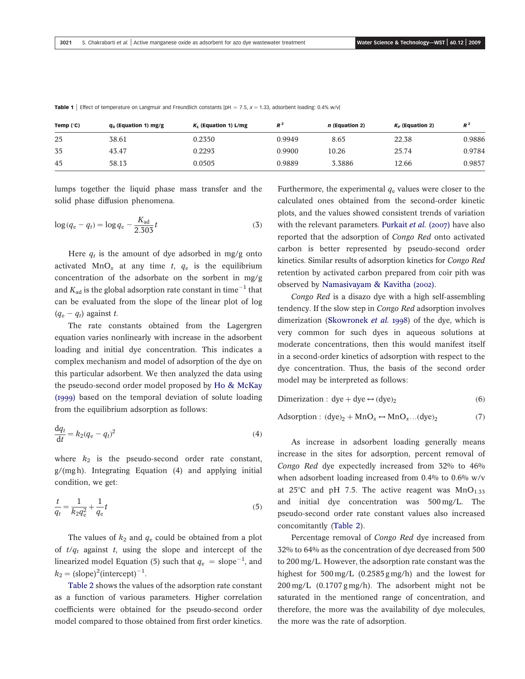| Temp (°C) | $q_0$ (Equation 1) mg/g | $K_i$ (Equation 1) L/mg | $R^2$  | <i>n</i> (Equation 2) | $K_F$ (Equation 2) | $R^2$  |
|-----------|-------------------------|-------------------------|--------|-----------------------|--------------------|--------|
| 25        | 38.61                   | 0.2350                  | 0.9949 | 8.65                  | 22.38              | 0.9886 |
| 35        | 43.47                   | 0.2293                  | 0.9900 | 10.26                 | 25.74              | 0.9784 |
| 45        | 58.13                   | 0.0505                  | 0.9889 | 3.3886                | 12.66              | 0.9857 |

Table 1 | Effect of temperature on Langmuir and Freundlich constants [pH = 7.5,  $x = 1.33$ , adsorbent loading: 0.4% w/v]

lumps together the liquid phase mass transfer and the solid phase diffusion phenomena.

$$
\log (q_e - q_t) = \log q_e - \frac{K_{\text{ad}}}{2.303} t \tag{3}
$$

Here  $q_t$  is the amount of dye adsorbed in mg/g onto activated MnO<sub>x</sub> at any time t,  $q_e$  is the equilibrium concentration of the adsorbate on the sorbent in mg/g and  $K_{\rm ad}$  is the global adsorption rate constant in time $^{-1}$  that can be evaluated from the slope of the linear plot of log  $(q_e - q_t)$  against t.

The rate constants obtained from the Lagergren equation varies nonlinearly with increase in the adsorbent loading and initial dye concentration. This indicates a complex mechanism and model of adsorption of the dye on this particular adsorbent. We then analyzed the data using the pseudo-second order model proposed by Ho & McKay (1999) based on the temporal deviation of solute loading from the equilibrium adsorption as follows:

$$
\frac{\mathrm{d}q_t}{\mathrm{d}t} = k_2(q_e - q_t)^2 \tag{4}
$$

where  $k_2$  is the pseudo-second order rate constant, g/(mg h). Integrating Equation (4) and applying initial condition, we get:

$$
\frac{t}{q_t} = \frac{1}{k_2 q_e^2} + \frac{1}{q_e} t \tag{5}
$$

The values of  $k_2$  and  $q_e$  could be obtained from a plot of  $t/q_t$  against t, using the slope and intercept of the linearized model Equation (5) such that  $q_{\rm e}\,=\,{\rm slope}^{-1},$  and  $k_2 = (slope)^2(intexcept)^{-1}.$ 

Table 2 shows the values of the adsorption rate constant as a function of various parameters. Higher correlation coefficients were obtained for the pseudo-second order model compared to those obtained from first order kinetics.

Furthermore, the experimental  $q_e$  values were closer to the calculated ones obtained from the second-order kinetic plots, and the values showed consistent trends of variation with the relevant parameters. Purkait et al. (2007) have also reported that the adsorption of Congo Red onto activated carbon is better represented by pseudo-second order kinetics. Similar results of adsorption kinetics for Congo Red retention by activated carbon prepared from coir pith was observed by Namasivayam & Kavitha (2002).

Congo Red is a disazo dye with a high self-assembling tendency. If the slow step in Congo Red adsorption involves dimerization (Skowronek et al. 1998) of the dye, which is very common for such dyes in aqueous solutions at moderate concentrations, then this would manifest itself in a second-order kinetics of adsorption with respect to the dye concentration. Thus, the basis of the second order model may be interpreted as follows:

Dimerization : dye + dye  $\leftrightarrow$  (dye)<sub>2</sub>  $(6)$ 

Adsorption :  $(dye)<sub>2</sub> + MnO<sub>x</sub> \leftrightarrow MnO<sub>x</sub>...(dye)<sub>2</sub>$  $(7)$ 

As increase in adsorbent loading generally means increase in the sites for adsorption, percent removal of Congo Red dye expectedly increased from 32% to 46% when adsorbent loading increased from 0.4% to 0.6% w/v at 25°C and pH 7.5. The active reagent was  $MnO<sub>1.33</sub>$ and initial dye concentration was 500 mg/L. The pseudo-second order rate constant values also increased concomitantly (Table 2).

Percentage removal of Congo Red dye increased from 32% to 64% as the concentration of dye decreased from 500 to 200 mg/L. However, the adsorption rate constant was the highest for 500 mg/L (0.2585 g mg/h) and the lowest for 200 mg/L (0.1707 g mg/h). The adsorbent might not be saturated in the mentioned range of concentration, and therefore, the more was the availability of dye molecules, the more was the rate of adsorption.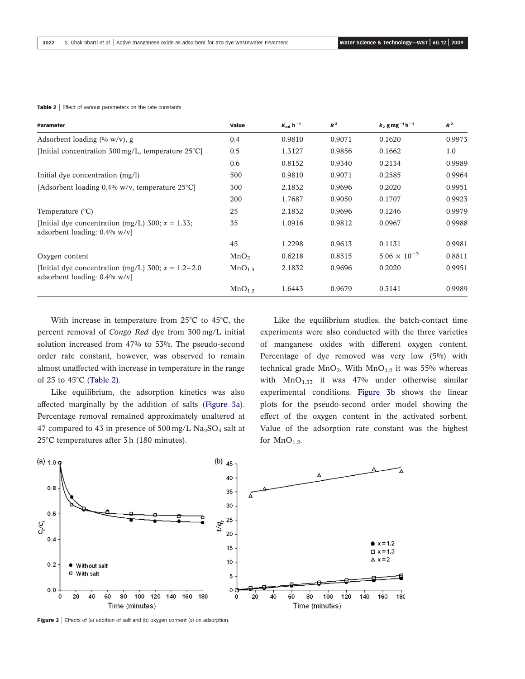#### Table 2 | Effect of various parameters on the rate constants

| <b>Parameter</b>                                                                          | Value              | $K_{ad}$ h <sup>-1</sup> | $R^2$  | $k_2$ g mg <sup>-1</sup> h <sup>-1</sup> | $R^2$  |
|-------------------------------------------------------------------------------------------|--------------------|--------------------------|--------|------------------------------------------|--------|
| Adsorbent loading $(\% w/v)$ , g                                                          | 0.4                | 0.9810                   | 0.9071 | 0.1620                                   | 0.9973 |
| [Initial concentration $300 \,\text{mg/L}$ , temperature $25^{\circ}\text{Cl}$ ]          | 0.5                | 1.3127                   | 0.9856 | 0.1662                                   | 1.0    |
|                                                                                           | 0.6                | 0.8152                   | 0.9340 | 0.2134                                   | 0.9989 |
| Initial dye concentration (mg/l)                                                          | 500                | 0.9810                   | 0.9071 | 0.2585                                   | 0.9964 |
| [Adsorbent loading $0.4\%$ w/v, temperature $25^{\circ}$ C]                               | 300                | 2.1832                   | 0.9696 | 0.2020                                   | 0.9951 |
|                                                                                           | 200                | 1.7687                   | 0.9050 | 0.1707                                   | 0.9923 |
| Temperature $(^{\circ}C)$                                                                 | 25                 | 2.1832                   | 0.9696 | 0.1246                                   | 0.9979 |
| [Initial dye concentration (mg/L) 300; $x = 1.33$ ;<br>adsorbent loading: $0.4\%$ w/v]    | 35                 | 1.0916                   | 0.9812 | 0.0967                                   | 0.9988 |
|                                                                                           | 45                 | 1.2298                   | 0.9613 | 0.1131                                   | 0.9981 |
| Oxygen content                                                                            | MnO <sub>2</sub>   | 0.6218                   | 0.8515 | $5.06 \times 10^{-3}$                    | 0.8811 |
| [Initial dye concentration (mg/L) 300; $x = 1.2 - 2.0$<br>adsorbent loading: $0.4\%$ w/v] | MnO <sub>1.5</sub> | 2.1832                   | 0.9696 | 0.2020                                   | 0.9951 |
|                                                                                           | MnO <sub>1.2</sub> | 1.6443                   | 0.9679 | 0.3141                                   | 0.9989 |

With increase in temperature from  $25^{\circ}$ C to  $45^{\circ}$ C, the percent removal of Congo Red dye from 300 mg/L initial solution increased from 47% to 53%. The pseudo-second order rate constant, however, was observed to remain almost unaffected with increase in temperature in the range of 25 to 45 $\degree$ C (Table 2).

Like equilibrium, the adsorption kinetics was also affected marginally by the addition of salts (Figure 3a). Percentage removal remained approximately unaltered at 47 compared to 43 in presence of  $500 \text{ mg/L}$  Na<sub>2</sub>SO<sub>4</sub> salt at  $25^{\circ}$ C temperatures after 3 h (180 minutes).

Like the equilibrium studies, the batch-contact time experiments were also conducted with the three varieties of manganese oxides with different oxygen content. Percentage of dye removed was very low (5%) with technical grade  $MnO<sub>2</sub>$ . With  $MnO<sub>1.2</sub>$  it was 55% whereas with  $MnO_{1.33}$  it was 47% under otherwise similar experimental conditions. Figure 3b shows the linear plots for the pseudo-second order model showing the effect of the oxygen content in the activated sorbent. Value of the adsorption rate constant was the highest for  $MnO_{1.2}$ .



**Figure 3** | Effects of (a) addition of salt and (b) oxygen content  $(x)$  on adsorption.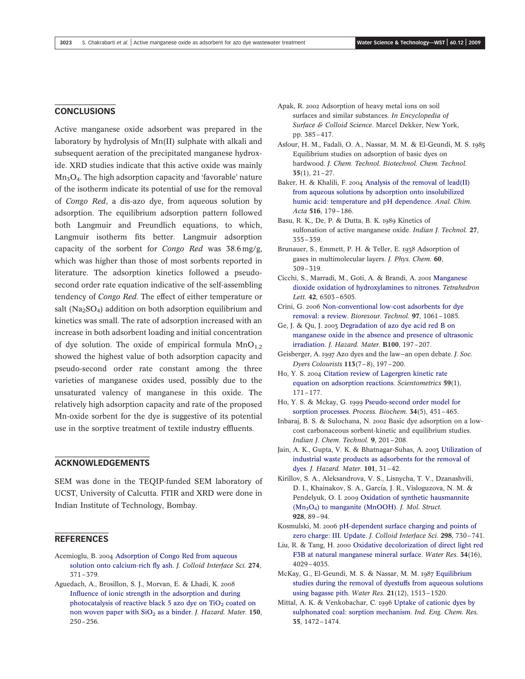## **CONCLUSIONS**

Active manganese oxide adsorbent was prepared in the laboratory by hydrolysis of Mn(II) sulphate with alkali and subsequent aeration of the precipitated manganese hydroxide. XRD studies indicate that this active oxide was mainly  $Mn<sub>3</sub>O<sub>4</sub>$ . The high adsorption capacity and 'favorable' nature of the isotherm indicate its potential of use for the removal of Congo Red, a dis-azo dye, from aqueous solution by adsorption. The equilibrium adsorption pattern followed both Langmuir and Freundlich equations, to which, Langmuir isotherm fits better. Langmuir adsorption capacity of the sorbent for Congo Red was 38.6 mg/g, which was higher than those of most sorbents reported in literature. The adsorption kinetics followed a pseudosecond order rate equation indicative of the self-assembling tendency of Congo Red. The effect of either temperature or salt ( $Na<sub>2</sub>SO<sub>4</sub>$ ) addition on both adsorption equilibrium and kinetics was small. The rate of adsorption increased with an increase in both adsorbent loading and initial concentration of dye solution. The oxide of empirical formula  $MnO_{1,2}$ showed the highest value of both adsorption capacity and pseudo-second order rate constant among the three varieties of manganese oxides used, possibly due to the unsaturated valency of manganese in this oxide. The relatively high adsorption capacity and rate of the proposed Mn-oxide sorbent for the dye is suggestive of its potential use in the sorptive treatment of textile industry effluents.

# ACKNOWLEDGEMENTS

SEM was done in the TEQIP-funded SEM laboratory of UCST, University of Calcutta. FTIR and XRD were done in Indian Institute of Technology, Bombay.

# **REFERENCES**

- Acemioglu, B. 2004 Adsorption of Congo Red from aqueous solution onto calcium-rich fly ash. J. Colloid Interface Sci. 274, 371–379.
- Aguedach, A., Brosillon, S. J., Morvan, E. & Lhadi, K. 2008 Influence of ionic strength in the adsorption and during photocatalysis of reactive black 5 azo dye on  $TiO<sub>2</sub>$  coated on non woven paper with  $SiO<sub>2</sub>$  as a binder. J. Hazard. Mater. 150, 250–256.
- Apak, R. 2002 Adsorption of heavy metal ions on soil surfaces and similar substances. In Encyclopedia of Surface & Colloid Science. Marcel Dekker, New York, pp. 385–417.
- Asfour, H. M., Fadali, O. A., Nassar, M. M. & El-Geundi, M. S. 1985 Equilibrium studies on adsorption of basic dyes on hardwood. J. Chem. Technol. Biotechnol. Chem. Technol. 35(1), 21–27.
- Baker, H. & Khalili, F. 2004 Analysis of the removal of lead(II) from aqueous solutions by adsorption onto insolubilized humic acid: temperature and pH dependence. Anal. Chim. Acta 516, 179–186.
- Basu, R. K., De, P. & Dutta, B. K. 1989 Kinetics of sulfonation of active manganese oxide. Indian J. Technol. 27, 355–359.
- Brunauer, S., Emmett, P. H. & Teller, E. 1938 Adsorption of gases in multimolecular layers. J. Phys. Chem. 60, 309–319.
- Cicchi, S., Marradi, M., Goti, A. & Brandi, A. 2001 Manganese dioxide oxidation of hydroxylamines to nitrones. Tetrahedron Lett. 42, 6503–6505.
- Crini, G. 2006 Non-conventional low-cost adsorbents for dye removal: a review. Bioresour. Technol. 97, 1061–1085.
- Ge, J. & Qu, J. 2003 Degradation of azo dye acid red B on manganese oxide in the absence and presence of ultrasonic irradiation. J. Hazard. Mater. B100, 197–207.
- Geisberger, A. 1997 Azo dyes and the law—an open debate. J. Soc. Dyers Colourists 113(7–8), 197–200.
- Ho, Y. S. 2004 Citation review of Lagergren kinetic rate equation on adsorption reactions. Scientometrics 59(1), 171–177.
- Ho, Y. S. & Mckay, G. 1999 Pseudo-second order model for sorption processes. Process. Biochem. 34(5), 451–465.
- Inbaraj, B. S. & Sulochana, N. 2002 Basic dye adsorption on a lowcost carbonaceous sorbent-kinetic and equilibrium studies. Indian J. Chem. Technol. 9, 201–208.
- Jain, A. K., Gupta, V. K. & Bhatnagar-Suhas, A. 2003 Utilization of industrial waste products as adsorbents for the removal of dyes. J. Hazard. Mater. 101, 31–42.
- Kirillov, S. A., Aleksandrova, V. S., Lisnycha, T. V., Dzanashvili, D. I., Khainakov, S. A., García, J. R., Visloguzova, N. M. & Pendelyuk, O. I. 2009 Oxidation of synthetic hausmannite  $(Mn<sub>3</sub>O<sub>4</sub>)$  to manganite (MnOOH). *J. Mol. Struct.* 928, 89–94.
- Kosmulski, M. 2006 pH-dependent surface charging and points of zero charge: III. Update. J. Colloid Interface Sci. 298, 730–741.
- Liu, R. & Tang, H. 2000 Oxidative decolorization of direct light red F3B at natural manganese mineral surface. Water Res. 34(16), 4029–4035.
- McKay, G., El-Geundi, M. S. & Nassar, M. M. 1987 Equilibrium studies during the removal of dyestuffs from aqueous solutions using bagasse pith. Water Res.  $21(12)$ ,  $1513-1520$ .
- Mittal, A. K. & Venkobachar, C. 1996 Uptake of cationic dyes by sulphonated coal: sorption mechanism. Ind. Eng. Chem. Res. 35, 1472–1474.